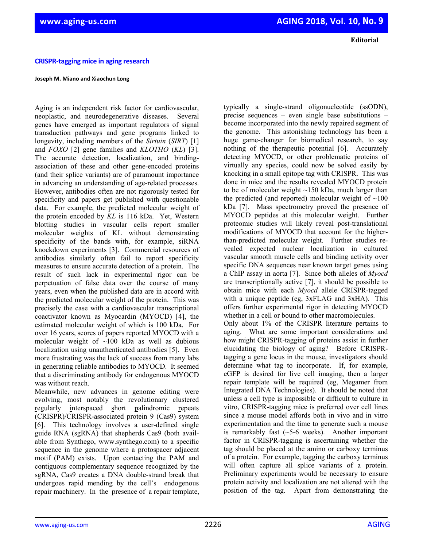**Editorial**

## **CRISPR‐tagging mice in aging research**

## **Joseph M. Miano and Xiaochun Long**

Aging is an independent risk factor for cardiovascular, neoplastic, and neurodegenerative diseases. Several genes have emerged as important regulators of signal transduction pathways and gene programs linked to longevity, including members of the *Sirtuin* (*SIRT*) [1] and *FOXO* [2] gene families and *KLOTHO* (*KL*) [3]. The accurate detection, localization, and bindingassociation of these and other gene-encoded proteins (and their splice variants) are of paramount importance in advancing an understanding of age-related processes. However, antibodies often are not rigorously tested for specificity and papers get published with questionable data. For example, the predicted molecular weight of the protein encoded by *KL* is 116 kDa. Yet, Western blotting studies in vascular cells report smaller molecular weights of KL without demonstrating specificity of the bands with, for example, siRNA knockdown experiments [3]. Commercial resources of antibodies similarly often fail to report specificity measures to ensure accurate detection of a protein. The result of such lack in experimental rigor can be perpetuation of false data over the course of many years, even when the published data are in accord with the predicted molecular weight of the protein. This was precisely the case with a cardiovascular transcriptional coactivator known as Myocardin (MYOCD) [4], the estimated molecular weight of which is 100 kDa. For over 16 years, scores of papers reported MYOCD with a molecular weight of ~100 kDa as well as dubious localization using unauthenticated antibodies [5]. Even more frustrating was the lack of success from many labs in generating reliable antibodies to MYOCD. It seemed that a discriminating antibody for endogenous MYOCD was without reach.

Meanwhile, new advances in genome editing were evolving, most notably the revolutionary clustered regularly interspaced short palindromic repeats (CRISPR)/CRISPR-associated protein 9 (Cas9) system [6]. This technology involves a user-defined single guide RNA (sgRNA) that shepherds Cas9 (both available from Synthego, www.synthego.com) to a specific sequence in the genome where a protospacer adjacent motif (PAM) exists. Upon contacting the PAM and contiguous complementary sequence recognized by the sgRNA, Cas9 creates a DNA double-strand break that undergoes rapid mending by the cell's endogenous repair machinery. In the presence of a repair template,

typically a single-strand oligonucleotide (ssODN), precise sequences – even single base substitutions – become incorporated into the newly repaired segment of the genome. This astonishing technology has been a huge game-changer for biomedical research, to say nothing of the therapeutic potential [6]. Accurately detecting MYOCD, or other problematic proteins of virtually any species, could now be solved easily by knocking in a small epitope tag with CRISPR. This was done in mice and the results revealed MYOCD protein to be of molecular weight ~150 kDa, much larger than the predicted (and reported) molecular weight of  $\sim 100$ kDa [7]. Mass spectrometry proved the presence of MYOCD peptides at this molecular weight. Further proteomic studies will likely reveal post-translational modifications of MYOCD that account for the higherthan-predicted molecular weight. Further studies revealed expected nuclear localization in cultured vascular smooth muscle cells and binding activity over specific DNA sequences near known target genes using a ChIP assay in aorta [7]. Since both alleles of *Myocd* are transcriptionally active [7], it should be possible to obtain mice with each *Myocd* allele CRISPR-tagged with a unique peptide (eg, 3xFLAG and 3xHA). This offers further experimental rigor in detecting MYOCD whether in a cell or bound to other macromolecules.

Only about 1% of the CRISPR literature pertains to aging. What are some important considerations and how might CRISPR-tagging of proteins assist in further elucidating the biology of aging? Before CRISPRtagging a gene locus in the mouse, investigators should determine what tag to incorporate. If, for example, eGFP is desired for live cell imaging, then a larger repair template will be required (eg, Megamer from Integrated DNA Technologies). It should be noted that unless a cell type is impossible or difficult to culture in vitro, CRISPR-tagging mice is preferred over cell lines since a mouse model affords both in vivo and in vitro experimentation and the time to generate such a mouse is remarkably fast  $(-5-6$  weeks). Another important factor in CRISPR-tagging is ascertaining whether the tag should be placed at the amino or carboxy terminus of a protein. For example, tagging the carboxy terminus will often capture all splice variants of a protein. Preliminary experiments would be necessary to ensure protein activity and localization are not altered with the position of the tag. Apart from demonstrating the